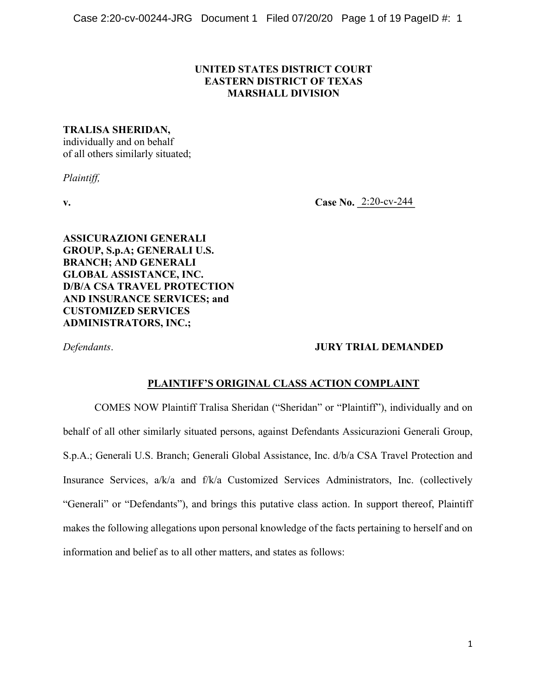## **UNITED STATES DISTRICT COURT EASTERN DISTRICT OF TEXAS MARSHALL DIVISION**

### **TRALISA SHERIDAN,**

individually and on behalf of all others similarly situated;

*Plaintiff,*

**v.**  $Case No. 2:20-cv-244$ 

**ASSICURAZIONI GENERALI GROUP, S.p.A; GENERALI U.S. BRANCH; AND GENERALI GLOBAL ASSISTANCE, INC. D/B/A CSA TRAVEL PROTECTION AND INSURANCE SERVICES; and CUSTOMIZED SERVICES ADMINISTRATORS, INC.;** 

## *Defendants*. **JURY TRIAL DEMANDED**

### **PLAINTIFF'S ORIGINAL CLASS ACTION COMPLAINT**

COMES NOW Plaintiff Tralisa Sheridan ("Sheridan" or "Plaintiff"), individually and on behalf of all other similarly situated persons, against Defendants Assicurazioni Generali Group, S.p.A.; Generali U.S. Branch; Generali Global Assistance, Inc. d/b/a CSA Travel Protection and Insurance Services, a/k/a and f/k/a Customized Services Administrators, Inc. (collectively "Generali" or "Defendants"), and brings this putative class action. In support thereof, Plaintiff makes the following allegations upon personal knowledge of the facts pertaining to herself and on information and belief as to all other matters, and states as follows: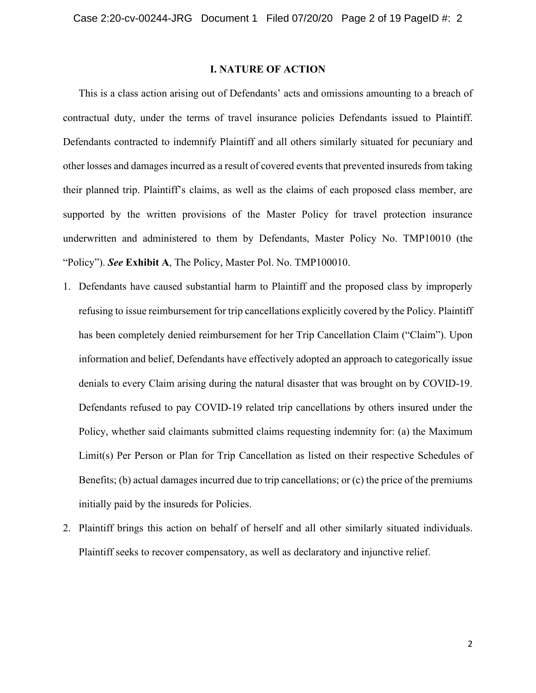### **I. NATURE OF ACTION**

This is a class action arising out of Defendants' acts and omissions amounting to a breach of contractual duty, under the terms of travel insurance policies Defendants issued to Plaintiff. Defendants contracted to indemnify Plaintiff and all others similarly situated for pecuniary and other losses and damages incurred as a result of covered events that prevented insureds from taking their planned trip. Plaintiff's claims, as well as the claims of each proposed class member, are supported by the written provisions of the Master Policy for travel protection insurance underwritten and administered to them by Defendants, Master Policy No. TMP10010 (the "Policy"). *See* **Exhibit A**, The Policy, Master Pol. No. TMP100010.

- 1. Defendants have caused substantial harm to Plaintiff and the proposed class by improperly refusing to issue reimbursement for trip cancellations explicitly covered by the Policy. Plaintiff has been completely denied reimbursement for her Trip Cancellation Claim ("Claim"). Upon information and belief, Defendants have effectively adopted an approach to categorically issue denials to every Claim arising during the natural disaster that was brought on by COVID-19. Defendants refused to pay COVID-19 related trip cancellations by others insured under the Policy, whether said claimants submitted claims requesting indemnity for: (a) the Maximum Limit(s) Per Person or Plan for Trip Cancellation as listed on their respective Schedules of Benefits; (b) actual damages incurred due to trip cancellations; or (c) the price of the premiums initially paid by the insureds for Policies.
- 2. Plaintiff brings this action on behalf of herself and all other similarly situated individuals. Plaintiff seeks to recover compensatory, as well as declaratory and injunctive relief.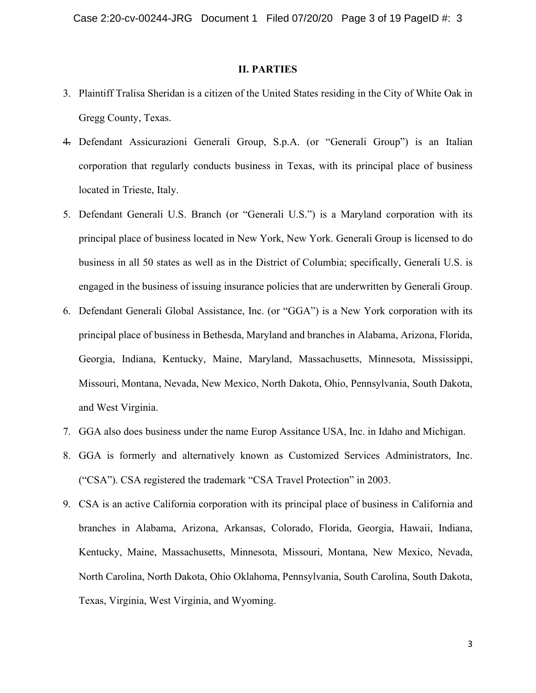#### **II. PARTIES**

- 3. Plaintiff Tralisa Sheridan is a citizen of the United States residing in the City of White Oak in Gregg County, Texas.
- 4. Defendant Assicurazioni Generali Group, S.p.A. (or "Generali Group") is an Italian corporation that regularly conducts business in Texas, with its principal place of business located in Trieste, Italy.
- 5. Defendant Generali U.S. Branch (or "Generali U.S.") is a Maryland corporation with its principal place of business located in New York, New York. Generali Group is licensed to do business in all 50 states as well as in the District of Columbia; specifically, Generali U.S. is engaged in the business of issuing insurance policies that are underwritten by Generali Group.
- 6. Defendant Generali Global Assistance, Inc. (or "GGA") is a New York corporation with its principal place of business in Bethesda, Maryland and branches in Alabama, Arizona, Florida, Georgia, Indiana, Kentucky, Maine, Maryland, Massachusetts, Minnesota, Mississippi, Missouri, Montana, Nevada, New Mexico, North Dakota, Ohio, Pennsylvania, South Dakota, and West Virginia.
- 7. GGA also does business under the name Europ Assitance USA, Inc. in Idaho and Michigan.
- 8. GGA is formerly and alternatively known as Customized Services Administrators, Inc. ("CSA"). CSA registered the trademark "CSA Travel Protection" in 2003.
- 9. CSA is an active California corporation with its principal place of business in California and branches in Alabama, Arizona, Arkansas, Colorado, Florida, Georgia, Hawaii, Indiana, Kentucky, Maine, Massachusetts, Minnesota, Missouri, Montana, New Mexico, Nevada, North Carolina, North Dakota, Ohio Oklahoma, Pennsylvania, South Carolina, South Dakota, Texas, Virginia, West Virginia, and Wyoming.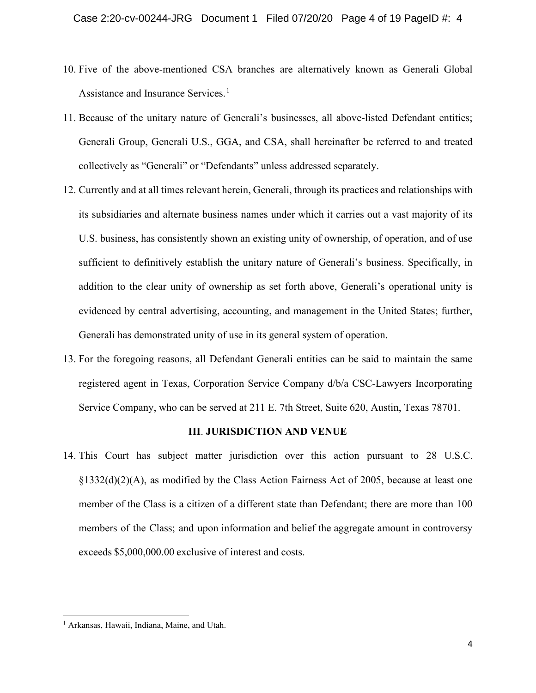- 10. Five of the above-mentioned CSA branches are alternatively known as Generali Global Assistance and Insurance Services.<sup>[1](#page-3-0)</sup>
- 11. Because of the unitary nature of Generali's businesses, all above-listed Defendant entities; Generali Group, Generali U.S., GGA, and CSA, shall hereinafter be referred to and treated collectively as "Generali" or "Defendants" unless addressed separately.
- 12. Currently and at all times relevant herein, Generali, through its practices and relationships with its subsidiaries and alternate business names under which it carries out a vast majority of its U.S. business, has consistently shown an existing unity of ownership, of operation, and of use sufficient to definitively establish the unitary nature of Generali's business. Specifically, in addition to the clear unity of ownership as set forth above, Generali's operational unity is evidenced by central advertising, accounting, and management in the United States; further, Generali has demonstrated unity of use in its general system of operation.
- 13. For the foregoing reasons, all Defendant Generali entities can be said to maintain the same registered agent in Texas, Corporation Service Company d/b/a CSC-Lawyers Incorporating Service Company, who can be served at 211 E. 7th Street, Suite 620, Austin, Texas 78701.

#### **III**. **JURISDICTION AND VENUE**

14. This Court has subject matter jurisdiction over this action pursuant to 28 U.S.C. §1332(d)(2)(A), as modified by the Class Action Fairness Act of 2005, because at least one member of the Class is a citizen of a different state than Defendant; there are more than 100 members of the Class; and upon information and belief the aggregate amount in controversy exceeds \$5,000,000.00 exclusive of interest and costs.

<span id="page-3-0"></span><sup>1</sup> Arkansas, Hawaii, Indiana, Maine, and Utah.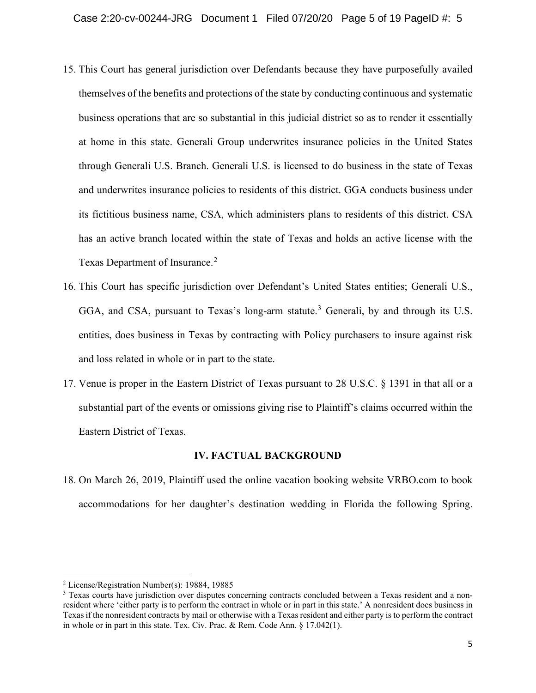- 15. This Court has general jurisdiction over Defendants because they have purposefully availed themselves of the benefits and protections of the state by conducting continuous and systematic business operations that are so substantial in this judicial district so as to render it essentially at home in this state. Generali Group underwrites insurance policies in the United States through Generali U.S. Branch. Generali U.S. is licensed to do business in the state of Texas and underwrites insurance policies to residents of this district. GGA conducts business under its fictitious business name, CSA, which administers plans to residents of this district. CSA has an active branch located within the state of Texas and holds an active license with the Texas Department of Insurance.<sup>[2](#page-4-0)</sup>
- 16. This Court has specific jurisdiction over Defendant's United States entities; Generali U.S., GGA, and CSA, pursuant to Texas's long-arm statute.<sup>[3](#page-4-1)</sup> Generali, by and through its U.S. entities, does business in Texas by contracting with Policy purchasers to insure against risk and loss related in whole or in part to the state.
- 17. Venue is proper in the Eastern District of Texas pursuant to 28 U.S.C. § 1391 in that all or a substantial part of the events or omissions giving rise to Plaintiff's claims occurred within the Eastern District of Texas.

### **IV. FACTUAL BACKGROUND**

18. On March 26, 2019, Plaintiff used the online vacation booking website VRBO.com to book accommodations for her daughter's destination wedding in Florida the following Spring.

<span id="page-4-0"></span><sup>2</sup> License/Registration Number(s): 19884, 19885

<span id="page-4-1"></span><sup>&</sup>lt;sup>3</sup> Texas courts have jurisdiction over disputes concerning contracts concluded between a Texas resident and a nonresident where 'either party is to perform the contract in whole or in part in this state.' A nonresident does business in Texas if the nonresident contracts by mail or otherwise with a Texas resident and either party is to perform the contract in whole or in part in this state. Tex. Civ. Prac. & Rem. Code Ann. § 17.042(1).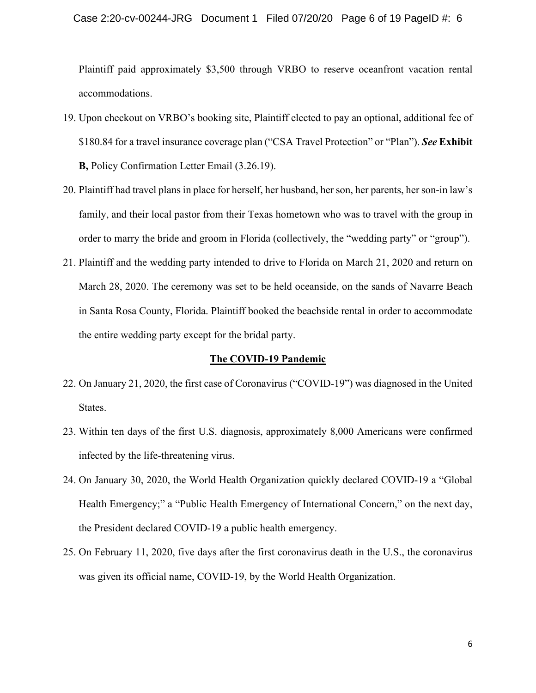#### Case 2:20-cv-00244-JRG Document 1 Filed 07/20/20 Page 6 of 19 PageID #: 6

Plaintiff paid approximately \$3,500 through VRBO to reserve oceanfront vacation rental accommodations.

- 19. Upon checkout on VRBO's booking site, Plaintiff elected to pay an optional, additional fee of \$180.84 for a travel insurance coverage plan ("CSA Travel Protection" or "Plan"). *See* **Exhibit B,** Policy Confirmation Letter Email (3.26.19).
- 20. Plaintiff had travel plans in place for herself, her husband, her son, her parents, her son-in law's family, and their local pastor from their Texas hometown who was to travel with the group in order to marry the bride and groom in Florida (collectively, the "wedding party" or "group").
- 21. Plaintiff and the wedding party intended to drive to Florida on March 21, 2020 and return on March 28, 2020. The ceremony was set to be held oceanside, on the sands of Navarre Beach in Santa Rosa County, Florida. Plaintiff booked the beachside rental in order to accommodate the entire wedding party except for the bridal party.

#### **The COVID-19 Pandemic**

- 22. On January 21, 2020, the first case of Coronavirus ("COVID-19") was diagnosed in the United States.
- 23. Within ten days of the first U.S. diagnosis, approximately 8,000 Americans were confirmed infected by the life-threatening virus.
- 24. On January 30, 2020, the World Health Organization quickly declared COVID-19 a "Global Health Emergency;" a "Public Health Emergency of International Concern," on the next day, the President declared COVID-19 a public health emergency.
- 25. On February 11, 2020, five days after the first coronavirus death in the U.S., the coronavirus was given its official name, COVID-19, by the World Health Organization.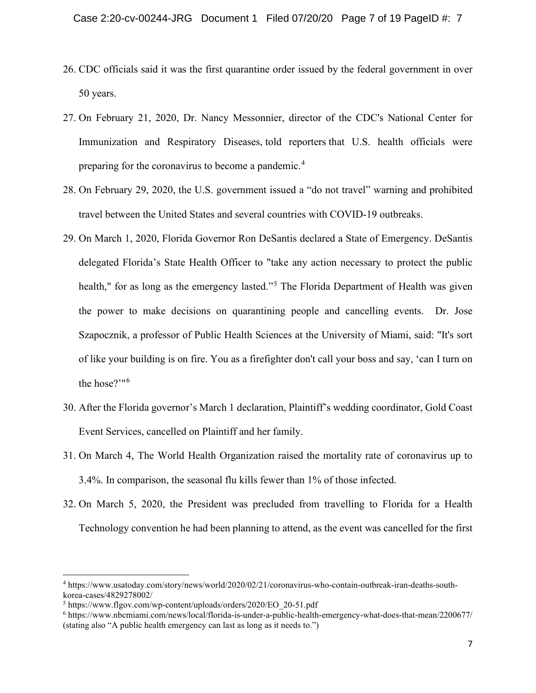- 26. CDC officials said it was the first quarantine order issued by the federal government in over 50 years.
- 27. On February 21, 2020, Dr. Nancy Messonnier, director of the CDC's National Center for Immunization and Respiratory Diseases, told reporters that U.S. health officials were preparing for the coronavirus to become a pandemic.<sup>[4](#page-6-0)</sup>
- 28. On February 29, 2020, the U.S. government issued a "do not travel" warning and prohibited travel between the United States and several countries with COVID-19 outbreaks.
- 29. On March 1, 2020, Florida Governor Ron DeSantis declared a State of Emergency. DeSantis delegated Florida's State Health Officer to "take any action necessary to protect the public health," for as long as the emergency lasted."<sup>[5](#page-6-1)</sup> The Florida Department of Health was given the power to make decisions on quarantining people and cancelling events. Dr. Jose Szapocznik, a professor of Public Health Sciences at the University of Miami, said: "It's sort of like your building is on fire. You as a firefighter don't call your boss and say, 'can I turn on the hose?'"[6](#page-6-2)
- 30. After the Florida governor's March 1 declaration, Plaintiff's wedding coordinator, Gold Coast Event Services, cancelled on Plaintiff and her family.
- 31. On March 4, The World Health Organization raised the mortality rate of coronavirus up to 3.4%. In comparison, the seasonal flu kills fewer than 1% of those infected.
- 32. On March 5, 2020, the President was precluded from travelling to Florida for a Health Technology convention he had been planning to attend, as the event was cancelled for the first

<span id="page-6-0"></span><sup>4</sup> https://www.usatoday.com/story/news/world/2020/02/21/coronavirus-who-contain-outbreak-iran-deaths-southkorea-cases/4829278002/

<span id="page-6-1"></span><sup>5</sup> https://www.flgov.com/wp-content/uploads/orders/2020/EO\_20-51.pdf

<span id="page-6-2"></span><sup>6</sup> https://www.nbcmiami.com/news/local/florida-is-under-a-public-health-emergency-what-does-that-mean/2200677/ (stating also "A public health emergency can last as long as it needs to.")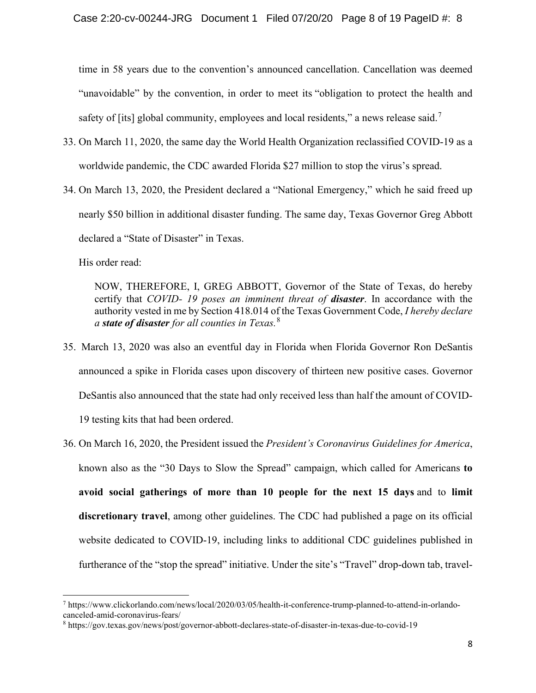time in 58 years due to the convention's announced cancellation. Cancellation was deemed "unavoidable" by the convention, in order to meet its "obligation to protect the health and safety of [its] global community, employees and local residents," a news release said.<sup>[7](#page-7-0)</sup>

- 33. On March 11, 2020, the same day the World Health Organization reclassified COVID-19 as a worldwide pandemic, the CDC awarded Florida \$27 million to stop the virus's spread.
- 34. On March 13, 2020, the President declared a "National Emergency," which he said freed up nearly \$50 billion in additional disaster funding. The same day, Texas Governor Greg Abbott declared a "State of Disaster" in Texas.

His order read:

NOW, THEREFORE, I, GREG ABBOTT, Governor of the State of Texas, do hereby certify that *COVID- 19 poses an imminent threat of disaster*. In accordance with the authority vested in me by Section 418.014 of the Texas Government Code, *I hereby declare a state of disaster for all counties in Texas.*[8](#page-7-1)

- 35. March 13, 2020 was also an eventful day in Florida when Florida Governor Ron DeSantis announced a spike in Florida cases upon discovery of thirteen new positive cases. Governor DeSantis also announced that the state had only received less than half the amount of COVID-19 testing kits that had been ordered.
- 36. On March 16, 2020, the President issued the *President's Coronavirus Guidelines for America*, known also as the "30 Days to Slow the Spread" campaign, which called for Americans **to avoid social gatherings of more than 10 people for the next 15 days** and to **limit discretionary travel**, among other guidelines. The CDC had published a page on its official website dedicated to COVID-19, including links to additional CDC guidelines published in furtherance of the "stop the spread" initiative. Under the site's "Travel" drop-down tab, travel-

<span id="page-7-0"></span><sup>7</sup> https://www.clickorlando.com/news/local/2020/03/05/health-it-conference-trump-planned-to-attend-in-orlandocanceled-amid-coronavirus-fears/

<span id="page-7-1"></span><sup>8</sup> https://gov.texas.gov/news/post/governor-abbott-declares-state-of-disaster-in-texas-due-to-covid-19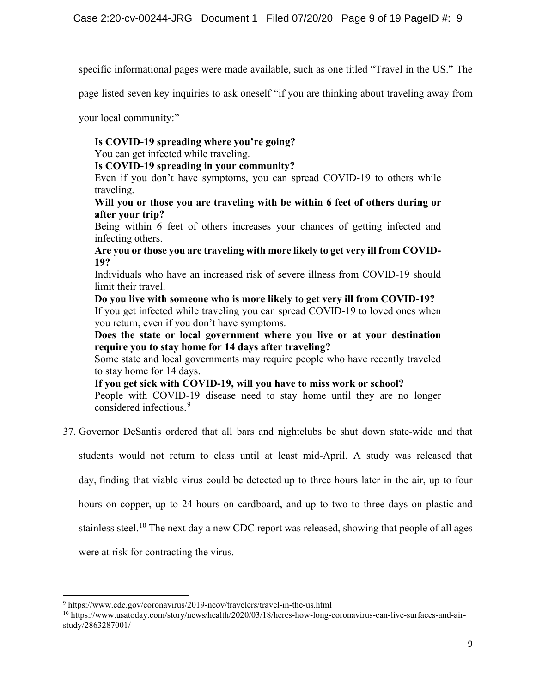specific informational pages were made available, such as one titled "Travel in the US." The

page listed seven key inquiries to ask oneself "if you are thinking about traveling away from

your local community:"

# **Is COVID-19 spreading where you're going?**

You can get infected while traveling.

## **Is COVID-19 spreading in your community?**

Even if you don't have symptoms, you can spread COVID-19 to others while traveling.

## **Will you or those you are traveling with be within 6 feet of others during or after your trip?**

Being within 6 feet of others increases your chances of getting infected and infecting others.

**Are you or those you are traveling with more likely to get very ill from COVID-19?**

Individuals who have an increased risk of severe illness from COVID-19 should limit their travel.

**Do you live with someone who is more likely to get very ill from COVID-19?** If you get infected while traveling you can spread COVID-19 to loved ones when you return, even if you don't have symptoms.

**Does the state or local government where you live or at your destination require you to stay home for 14 days after traveling?**

Some state and local governments may require people who have recently traveled to stay home for 14 days.

**If you get sick with COVID-19, will you have to miss work or school?**

People with COVID-19 disease need to stay home until they are no longer considered infectious.<sup>[9](#page-8-0)</sup>

37. Governor DeSantis ordered that all bars and nightclubs be shut down state-wide and that

students would not return to class until at least mid-April. A study was released that

day, finding that viable virus could be detected up to three hours later in the air, up to four

hours on copper, up to 24 hours on cardboard, and up to two to three days on plastic and

stainless steel.<sup>[10](#page-8-1)</sup> The next day a new CDC report was released, showing that people of all ages

were at risk for contracting the virus.

<span id="page-8-0"></span><sup>9</sup> https://www.cdc.gov/coronavirus/2019-ncov/travelers/travel-in-the-us.html

<span id="page-8-1"></span><sup>10</sup> https://www.usatoday.com/story/news/health/2020/03/18/heres-how-long-coronavirus-can-live-surfaces-and-airstudy/2863287001/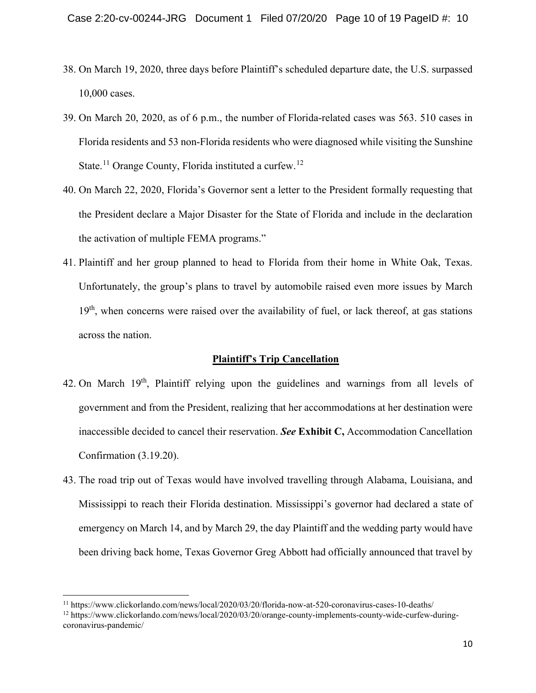- 38. On March 19, 2020, three days before Plaintiff's scheduled departure date, the U.S. surpassed 10,000 cases.
- 39. On March 20, 2020, as of 6 p.m., the number of Florida-related cases was 563. 510 cases in Florida residents and 53 non-Florida residents who were diagnosed while visiting the Sunshine State.<sup>[11](#page-9-0)</sup> Orange County, Florida instituted a curfew.<sup>[12](#page-9-1)</sup>
- 40. On March 22, 2020, Florida's Governor sent a letter to the President formally requesting that the President declare a Major Disaster for the State of Florida and include in the declaration the activation of multiple FEMA programs."
- 41. Plaintiff and her group planned to head to Florida from their home in White Oak, Texas. Unfortunately, the group's plans to travel by automobile raised even more issues by March  $19<sup>th</sup>$ , when concerns were raised over the availability of fuel, or lack thereof, at gas stations across the nation.

#### **Plaintiff's Trip Cancellation**

- 42. On March  $19<sup>th</sup>$ , Plaintiff relying upon the guidelines and warnings from all levels of government and from the President, realizing that her accommodations at her destination were inaccessible decided to cancel their reservation. *See* **Exhibit C,** Accommodation Cancellation Confirmation (3.19.20).
- 43. The road trip out of Texas would have involved travelling through Alabama, Louisiana, and Mississippi to reach their Florida destination. Mississippi's governor had declared a state of emergency on March 14, and by March 29, the day Plaintiff and the wedding party would have been driving back home, Texas Governor Greg Abbott had officially announced that travel by

<span id="page-9-0"></span><sup>11</sup> https://www.clickorlando.com/news/local/2020/03/20/florida-now-at-520-coronavirus-cases-10-deaths/

<span id="page-9-1"></span><sup>12</sup> https://www.clickorlando.com/news/local/2020/03/20/orange-county-implements-county-wide-curfew-duringcoronavirus-pandemic/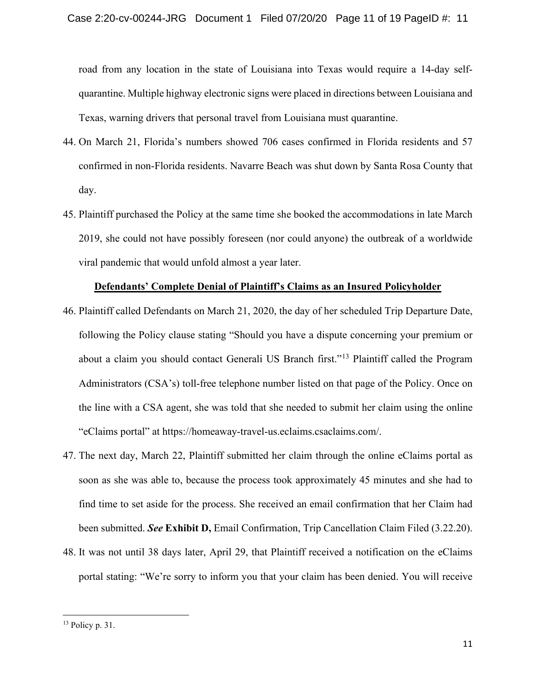road from any location in the state of Louisiana into Texas would require a 14-day selfquarantine. Multiple highway electronic signs were placed in directions between Louisiana and Texas, warning drivers that personal travel from Louisiana must quarantine.

- 44. On March 21, Florida's numbers showed 706 cases confirmed in Florida residents and 57 confirmed in non-Florida residents. Navarre Beach was shut down by Santa Rosa County that day.
- 45. Plaintiff purchased the Policy at the same time she booked the accommodations in late March 2019, she could not have possibly foreseen (nor could anyone) the outbreak of a worldwide viral pandemic that would unfold almost a year later.

### **Defendants' Complete Denial of Plaintiff's Claims as an Insured Policyholder**

- 46. Plaintiff called Defendants on March 21, 2020, the day of her scheduled Trip Departure Date, following the Policy clause stating "Should you have a dispute concerning your premium or about a claim you should contact Generali US Branch first."[13](#page-10-0) Plaintiff called the Program Administrators (CSA's) toll-free telephone number listed on that page of the Policy. Once on the line with a CSA agent, she was told that she needed to submit her claim using the online "eClaims portal" at https://homeaway-travel-us.eclaims.csaclaims.com/.
- 47. The next day, March 22, Plaintiff submitted her claim through the online eClaims portal as soon as she was able to, because the process took approximately 45 minutes and she had to find time to set aside for the process. She received an email confirmation that her Claim had been submitted. *See* **Exhibit D,** Email Confirmation, Trip Cancellation Claim Filed (3.22.20).
- 48. It was not until 38 days later, April 29, that Plaintiff received a notification on the eClaims portal stating: "We're sorry to inform you that your claim has been denied. You will receive

<span id="page-10-0"></span><sup>13</sup> Policy p. 31.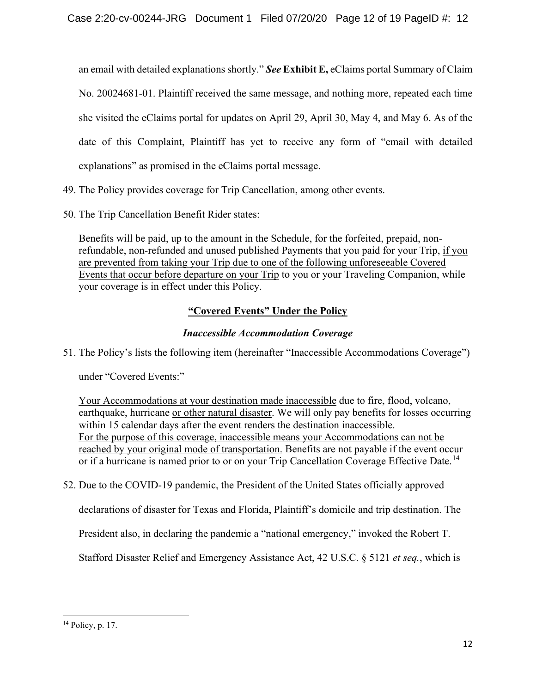an email with detailed explanations shortly." *See* **Exhibit E,** eClaims portal Summary of Claim No. 20024681-01. Plaintiff received the same message, and nothing more, repeated each time she visited the eClaims portal for updates on April 29, April 30, May 4, and May 6. As of the date of this Complaint, Plaintiff has yet to receive any form of "email with detailed explanations" as promised in the eClaims portal message.

- 49. The Policy provides coverage for Trip Cancellation, among other events.
- 50. The Trip Cancellation Benefit Rider states:

Benefits will be paid, up to the amount in the Schedule, for the forfeited, prepaid, nonrefundable, non-refunded and unused published Payments that you paid for your Trip, if you are prevented from taking your Trip due to one of the following unforeseeable Covered Events that occur before departure on your Trip to you or your Traveling Companion, while your coverage is in effect under this Policy.

# **"Covered Events" Under the Policy**

# *Inaccessible Accommodation Coverage*

51. The Policy's lists the following item (hereinafter "Inaccessible Accommodations Coverage")

under "Covered Events:"

Your Accommodations at your destination made inaccessible due to fire, flood, volcano, earthquake, hurricane or other natural disaster. We will only pay benefits for losses occurring within 15 calendar days after the event renders the destination inaccessible. For the purpose of this coverage, inaccessible means your Accommodations can not be reached by your original mode of transportation. Benefits are not payable if the event occur or if a hurricane is named prior to or on your Trip Cancellation Coverage Effective Date.<sup>[14](#page-11-0)</sup>

52. Due to the COVID-19 pandemic, the President of the United States officially approved

declarations of disaster for Texas and Florida, Plaintiff's domicile and trip destination. The

President also, in declaring the pandemic a "national emergency," invoked the Robert T.

Stafford Disaster Relief and Emergency Assistance Act, 42 U.S.C. § 5121 *et seq.*, which is

<span id="page-11-0"></span> $14$  Policy, p. 17.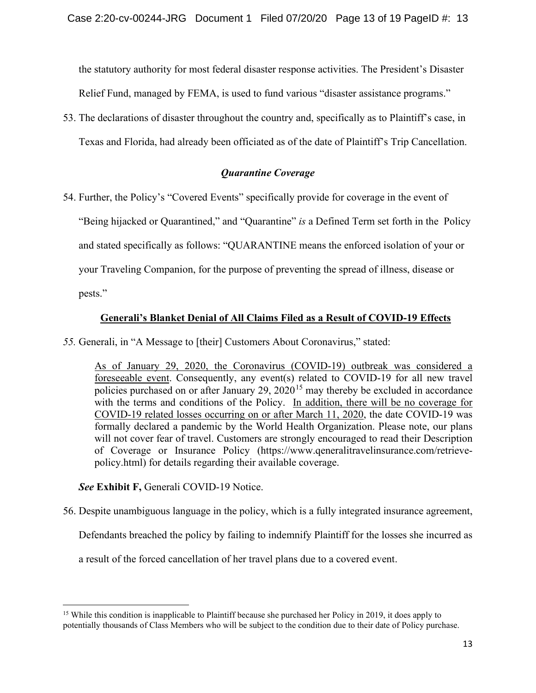the statutory authority for most federal disaster response activities. The President's Disaster Relief Fund, managed by FEMA, is used to fund various "disaster assistance programs."

53. The declarations of disaster throughout the country and, specifically as to Plaintiff's case, in Texas and Florida, had already been officiated as of the date of Plaintiff's Trip Cancellation.

# *Quarantine Coverage*

54. Further, the Policy's "Covered Events" specifically provide for coverage in the event of

"Being hijacked or Quarantined," and "Quarantine" *is* a Defined Term set forth in the Policy

and stated specifically as follows: "QUARANTINE means the enforced isolation of your or

your Traveling Companion, for the purpose of preventing the spread of illness, disease or

pests."

# **Generali's Blanket Denial of All Claims Filed as a Result of COVID-19 Effects**

*55.* Generali, in "A Message to [their] Customers About Coronavirus," stated:

As of January 29, 2020, the Coronavirus (COVID-19) outbreak was considered a foreseeable event. Consequently, any event(s) related to COVID-19 for all new travel policies purchased on or after January 29,  $2020^{15}$  $2020^{15}$  $2020^{15}$  may thereby be excluded in accordance with the terms and conditions of the Policy. In addition, there will be no coverage for COVID-19 related losses occurring on or after March 11, 2020, the date COVID-19 was formally declared a pandemic by the World Health Organization. Please note, our plans will not cover fear of travel. Customers are strongly encouraged to read their Description of Coverage or Insurance Policy (https://www.qeneralitravelinsurance.com/retrievepolicy.html) for details regarding their available coverage.

# *See* **Exhibit F,** Generali COVID-19 Notice.

56. Despite unambiguous language in the policy, which is a fully integrated insurance agreement,

Defendants breached the policy by failing to indemnify Plaintiff for the losses she incurred as

a result of the forced cancellation of her travel plans due to a covered event.

<span id="page-12-0"></span><sup>&</sup>lt;sup>15</sup> While this condition is inapplicable to Plaintiff because she purchased her Policy in 2019, it does apply to potentially thousands of Class Members who will be subject to the condition due to their date of Policy purchase.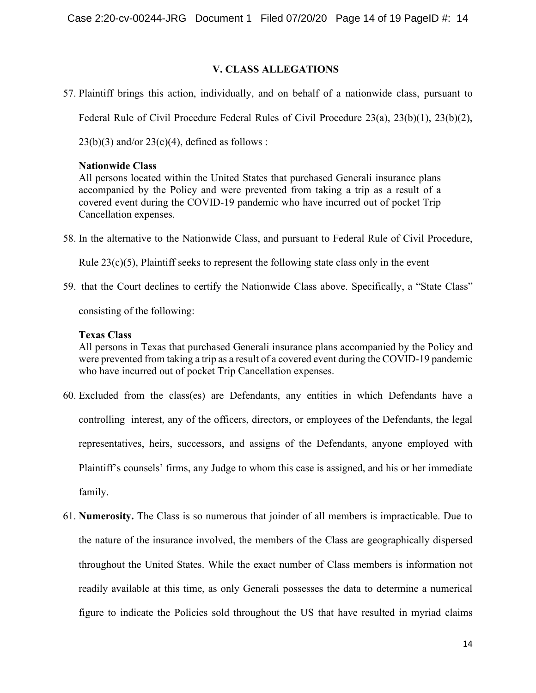# **V. CLASS ALLEGATIONS**

57. Plaintiff brings this action, individually, and on behalf of a nationwide class, pursuant to

Federal Rule of Civil Procedure Federal Rules of Civil Procedure 23(a), 23(b)(1), 23(b)(2),

 $23(b)(3)$  and/or  $23(c)(4)$ , defined as follows :

## **Nationwide Class**

All persons located within the United States that purchased Generali insurance plans accompanied by the Policy and were prevented from taking a trip as a result of a covered event during the COVID-19 pandemic who have incurred out of pocket Trip Cancellation expenses.

58. In the alternative to the Nationwide Class, and pursuant to Federal Rule of Civil Procedure,

Rule  $23(c)(5)$ , Plaintiff seeks to represent the following state class only in the event

59. that the Court declines to certify the Nationwide Class above. Specifically, a "State Class" consisting of the following:

# **Texas Class**

All persons in Texas that purchased Generali insurance plans accompanied by the Policy and were prevented from taking a trip as a result of a covered event during the COVID-19 pandemic who have incurred out of pocket Trip Cancellation expenses.

- 60. Excluded from the class(es) are Defendants, any entities in which Defendants have a controlling interest, any of the officers, directors, or employees of the Defendants, the legal representatives, heirs, successors, and assigns of the Defendants, anyone employed with Plaintiff's counsels' firms, any Judge to whom this case is assigned, and his or her immediate family.
- 61. **Numerosity.** The Class is so numerous that joinder of all members is impracticable. Due to the nature of the insurance involved, the members of the Class are geographically dispersed throughout the United States. While the exact number of Class members is information not readily available at this time, as only Generali possesses the data to determine a numerical figure to indicate the Policies sold throughout the US that have resulted in myriad claims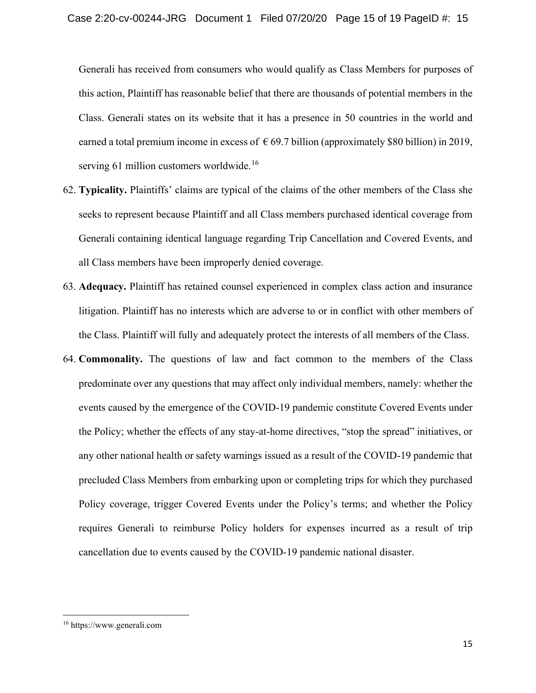Generali has received from consumers who would qualify as Class Members for purposes of this action, Plaintiff has reasonable belief that there are thousands of potential members in the Class. Generali states on its website that it has a presence in 50 countries in the world and earned a total premium income in excess of  $\epsilon$  69.7 billion (approximately \$80 billion) in 2019, serving 61 million customers worldwide.<sup>[16](#page-14-0)</sup>

- 62. **Typicality.** Plaintiffs' claims are typical of the claims of the other members of the Class she seeks to represent because Plaintiff and all Class members purchased identical coverage from Generali containing identical language regarding Trip Cancellation and Covered Events, and all Class members have been improperly denied coverage.
- 63. **Adequacy.** Plaintiff has retained counsel experienced in complex class action and insurance litigation. Plaintiff has no interests which are adverse to or in conflict with other members of the Class. Plaintiff will fully and adequately protect the interests of all members of the Class.
- 64. **Commonality.** The questions of law and fact common to the members of the Class predominate over any questions that may affect only individual members, namely: whether the events caused by the emergence of the COVID-19 pandemic constitute Covered Events under the Policy; whether the effects of any stay-at-home directives, "stop the spread" initiatives, or any other national health or safety warnings issued as a result of the COVID-19 pandemic that precluded Class Members from embarking upon or completing trips for which they purchased Policy coverage, trigger Covered Events under the Policy's terms; and whether the Policy requires Generali to reimburse Policy holders for expenses incurred as a result of trip cancellation due to events caused by the COVID-19 pandemic national disaster.

<span id="page-14-0"></span><sup>16</sup> https://www.generali.com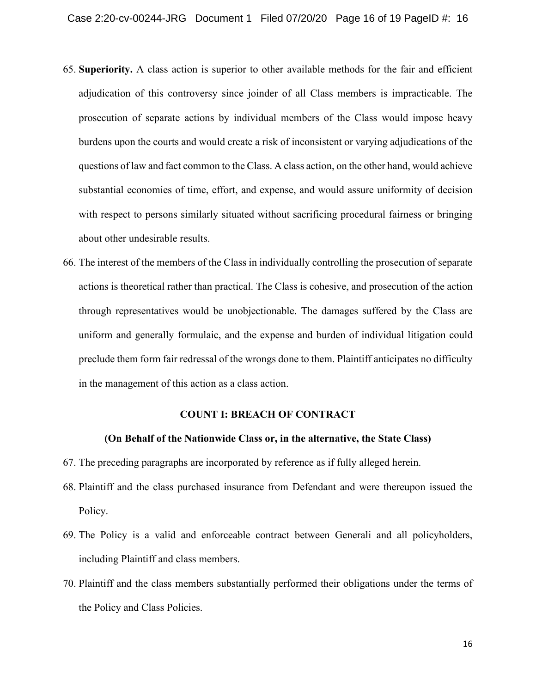- 65. **Superiority.** A class action is superior to other available methods for the fair and efficient adjudication of this controversy since joinder of all Class members is impracticable. The prosecution of separate actions by individual members of the Class would impose heavy burdens upon the courts and would create a risk of inconsistent or varying adjudications of the questions of law and fact common to the Class. A class action, on the other hand, would achieve substantial economies of time, effort, and expense, and would assure uniformity of decision with respect to persons similarly situated without sacrificing procedural fairness or bringing about other undesirable results.
- 66. The interest of the members of the Class in individually controlling the prosecution of separate actions is theoretical rather than practical. The Class is cohesive, and prosecution of the action through representatives would be unobjectionable. The damages suffered by the Class are uniform and generally formulaic, and the expense and burden of individual litigation could preclude them form fair redressal of the wrongs done to them. Plaintiff anticipates no difficulty in the management of this action as a class action.

### **COUNT I: BREACH OF CONTRACT**

### **(On Behalf of the Nationwide Class or, in the alternative, the State Class)**

- 67. The preceding paragraphs are incorporated by reference as if fully alleged herein.
- 68. Plaintiff and the class purchased insurance from Defendant and were thereupon issued the Policy.
- 69. The Policy is a valid and enforceable contract between Generali and all policyholders, including Plaintiff and class members.
- 70. Plaintiff and the class members substantially performed their obligations under the terms of the Policy and Class Policies.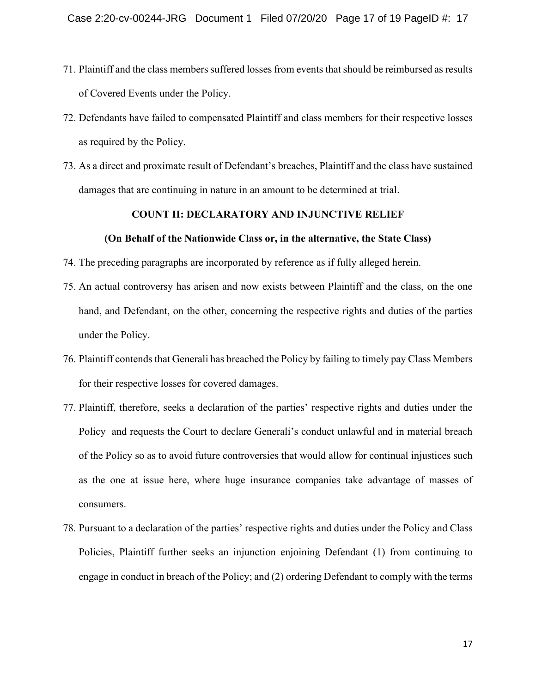- 71. Plaintiff and the class members suffered losses from events that should be reimbursed as results of Covered Events under the Policy.
- 72. Defendants have failed to compensated Plaintiff and class members for their respective losses as required by the Policy.
- 73. As a direct and proximate result of Defendant's breaches, Plaintiff and the class have sustained damages that are continuing in nature in an amount to be determined at trial.

### **COUNT II: DECLARATORY AND INJUNCTIVE RELIEF**

#### **(On Behalf of the Nationwide Class or, in the alternative, the State Class)**

- 74. The preceding paragraphs are incorporated by reference as if fully alleged herein.
- 75. An actual controversy has arisen and now exists between Plaintiff and the class, on the one hand, and Defendant, on the other, concerning the respective rights and duties of the parties under the Policy.
- 76. Plaintiff contends that Generali has breached the Policy by failing to timely pay Class Members for their respective losses for covered damages.
- 77. Plaintiff, therefore, seeks a declaration of the parties' respective rights and duties under the Policy and requests the Court to declare Generali's conduct unlawful and in material breach of the Policy so as to avoid future controversies that would allow for continual injustices such as the one at issue here, where huge insurance companies take advantage of masses of consumers.
- 78. Pursuant to a declaration of the parties' respective rights and duties under the Policy and Class Policies, Plaintiff further seeks an injunction enjoining Defendant (1) from continuing to engage in conduct in breach of the Policy; and (2) ordering Defendant to comply with the terms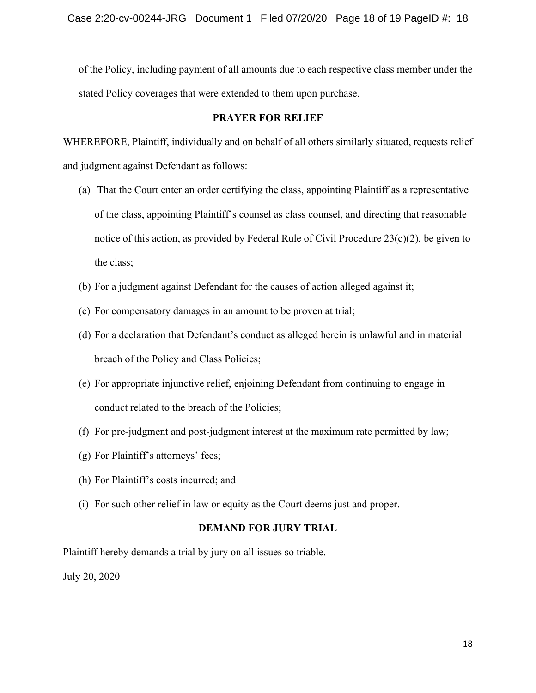of the Policy, including payment of all amounts due to each respective class member under the stated Policy coverages that were extended to them upon purchase.

### **PRAYER FOR RELIEF**

WHEREFORE, Plaintiff, individually and on behalf of all others similarly situated, requests relief and judgment against Defendant as follows:

- (a) That the Court enter an order certifying the class, appointing Plaintiff as a representative of the class, appointing Plaintiff's counsel as class counsel, and directing that reasonable notice of this action, as provided by Federal Rule of Civil Procedure 23(c)(2), be given to the class;
- (b) For a judgment against Defendant for the causes of action alleged against it;
- (c) For compensatory damages in an amount to be proven at trial;
- (d) For a declaration that Defendant's conduct as alleged herein is unlawful and in material breach of the Policy and Class Policies;
- (e) For appropriate injunctive relief, enjoining Defendant from continuing to engage in conduct related to the breach of the Policies;
- (f) For pre-judgment and post-judgment interest at the maximum rate permitted by law;
- (g) For Plaintiff's attorneys' fees;
- (h) For Plaintiff's costs incurred; and
- (i) For such other relief in law or equity as the Court deems just and proper.

# **DEMAND FOR JURY TRIAL**

Plaintiff hereby demands a trial by jury on all issues so triable.

July 20, 2020